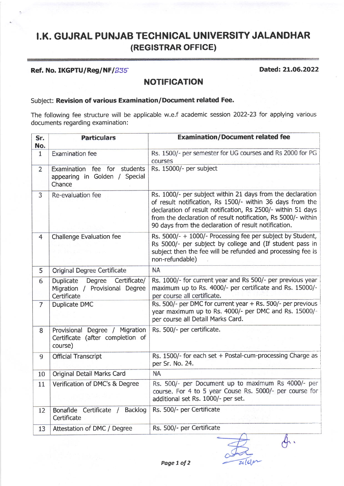# I.K. GUJRAL PUNJAB TECHNICAL UNIVERSITY JALANDHAR (REGISTRAR OFFICE)

#### Ref. No. IKGPTU/Reg/NF/235 2022

 $\oint$ .

#### NOTIFICATION

### Subject: Revision of various Examination/Document related Fee.

The following fee structure will be applicable w.e.f academic session 2022-23 for applying various documents regarding examination :

| Sr.<br>No.     | <b>Particulars</b>                                                                          | <b>Examination/Document related fee</b>                                                                                                                                                                                                                                                                          |
|----------------|---------------------------------------------------------------------------------------------|------------------------------------------------------------------------------------------------------------------------------------------------------------------------------------------------------------------------------------------------------------------------------------------------------------------|
| $\mathbf{1}$   | <b>Examination fee</b>                                                                      | Rs. 1500/- per semester for UG courses and Rs 2000 for PG<br>courses                                                                                                                                                                                                                                             |
| $\overline{2}$ | students<br>Examination fee for<br>appearing in Golden / Special<br>Chance                  | Rs. 15000/- per subject                                                                                                                                                                                                                                                                                          |
| 3              | Re-evaluation fee                                                                           | Rs. 1000/- per subject within 21 days from the declaration<br>of result notification, Rs 1500/- within 36 days from the<br>declaration of result notification, Rs 2500/- within 51 days<br>from the declaration of result notification, Rs 5000/- within<br>90 days from the declaration of result notification. |
| $\overline{4}$ | <b>Challenge Evaluation fee</b>                                                             | Rs. 5000/- + 1000/- Processing fee per subject by Student,<br>Rs 5000/- per subject by college and (If student pass in<br>subject then the fee will be refunded and processing fee is<br>non-refundable)                                                                                                         |
| 5              | Original Degree Certificate                                                                 | <b>NA</b>                                                                                                                                                                                                                                                                                                        |
| 6              | Certificate/<br><b>Duplicate</b><br>Degree<br>Migration / Provisional Degree<br>Certificate | Rs. 1000/- for current year and Rs 500/- per previous year<br>maximum up to Rs. 4000/- per certificate and Rs. 15000/-<br>per course all certificate.                                                                                                                                                            |
| 7              | <b>Duplicate DMC</b>                                                                        | Rs. 500/- per DMC for current year + Rs. 500/- per previous<br>year maximum up to Rs. 4000/- per DMC and Rs. 15000/-<br>per course all Detail Marks Card.                                                                                                                                                        |
| 8              | Provisional Degree / Migration<br>Certificate (after completion of<br>course)               | Rs. 500/- per certificate.                                                                                                                                                                                                                                                                                       |
| 9              | <b>Official Transcript</b>                                                                  | Rs. 1500/- for each set + Postal-cum-processing Charge as<br>per Sr. No. 24.                                                                                                                                                                                                                                     |
| 10             | Original Detail Marks Card                                                                  | <b>NA</b>                                                                                                                                                                                                                                                                                                        |
| 11             | Verification of DMC's & Degree                                                              | Rs. 500/- per Document up to maximum Rs 4000/- per<br>course. For 4 to 5 year Couse Rs. 5000/- per course for<br>additional set Rs. 1000/- per set.                                                                                                                                                              |
| 12             | Backlog<br>Bonafide<br>Certificate /<br>Certificate                                         | Rs. 500/- per Certificate                                                                                                                                                                                                                                                                                        |
| 13             | Attestation of DMC / Degree                                                                 | Rs. 500/- per Certificate                                                                                                                                                                                                                                                                                        |